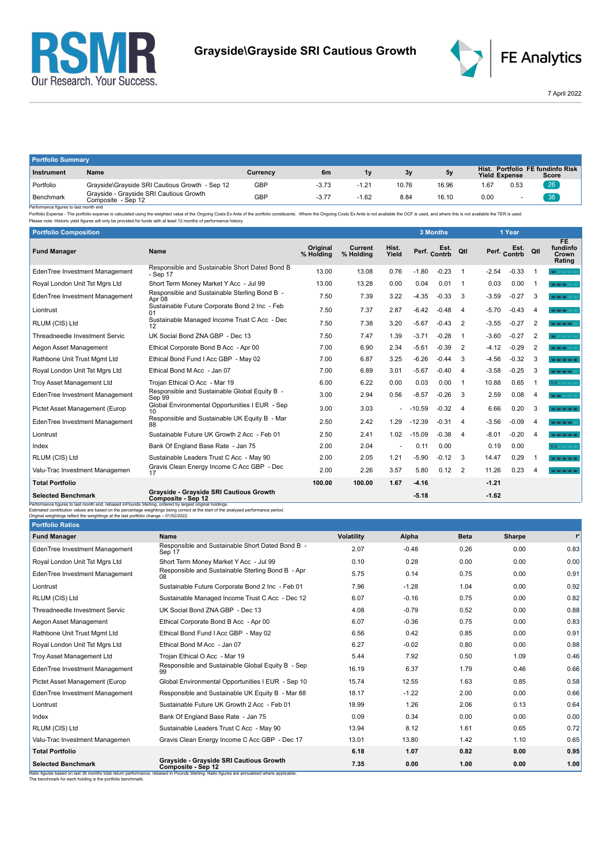



7 April 2022

| <b>Portfolio Summary</b> |                                                               |          |         |         |       |       |                      |      |                                           |
|--------------------------|---------------------------------------------------------------|----------|---------|---------|-------|-------|----------------------|------|-------------------------------------------|
| Instrument               | Name                                                          | Currency | 6m      | 1v      | 3v    | 5v    | <b>Yield Expense</b> |      | Hist. Portfolio FE fundinfo Risk<br>Score |
| Portfolio                | Grayside\Grayside SRI Cautious Growth - Sep 12                | GBP      | $-3.73$ | $-1.21$ | 10.76 | 16.96 | .67                  | 0.53 | 26                                        |
| Benchmark<br>.           | Grayside - Grayside SRI Cautious Growth<br>Composite - Sep 12 | GBP      | $-3.77$ | $-1.62$ | 8.84  | 16.10 | 0.00                 |      | 36                                        |

Benchmark Composite - Sep 12<br>- Performance figures is last month end<br>- Performance figures is alst month end Composite - Sep 12<br>- Please note: Historic yield figures will only be provided for funds with at least 12 months

| <b>Portfolio Composition</b>                                                                                                                                                                      |                                                                                                                                     |                              |                      |                |          | <b>3 Months</b>      |                         |         | 1 Year               |                         |                                          |
|---------------------------------------------------------------------------------------------------------------------------------------------------------------------------------------------------|-------------------------------------------------------------------------------------------------------------------------------------|------------------------------|----------------------|----------------|----------|----------------------|-------------------------|---------|----------------------|-------------------------|------------------------------------------|
| <b>Fund Manager</b>                                                                                                                                                                               | <b>Name</b>                                                                                                                         | <b>Original</b><br>% Holding | Current<br>% Holdina | Hist.<br>Yield |          | Est.<br>Perf. Contrb | Qtl                     |         | Est.<br>Perf. Contrb | Qtl                     | <b>FE</b><br>fundinfo<br>Crown<br>Rating |
| EdenTree Investment Management                                                                                                                                                                    | Responsible and Sustainable Short Dated Bond B<br>- Sep 17                                                                          | 13.00                        | 13.08                | 0.76           | $-1.80$  | $-0.23$              | $\overline{1}$          | $-2.54$ | $-0.33$              |                         | <b>WOOD AREA</b>                         |
| Royal London Unit Tst Mgrs Ltd                                                                                                                                                                    | Short Term Money Market Y Acc - Jul 99                                                                                              | 13.00                        | 13.28                | 0.00           | 0.04     | 0.01                 | -1                      | 0.03    | 0.00                 |                         | <b>WAR WARRANTS</b>                      |
| EdenTree Investment Management                                                                                                                                                                    | Responsible and Sustainable Sterling Bond B -<br>Apr 08                                                                             | 7.50                         | 7.39                 | 3.22           | $-4.35$  | $-0.33$              | 3                       | $-3.59$ | $-0.27$              | 3                       | <b>WOOD WOOD</b>                         |
| Liontrust                                                                                                                                                                                         | Sustainable Future Corporate Bond 2 Inc - Feb<br>01                                                                                 | 7.50                         | 7.37                 | 2.87           | $-6.42$  | $-0.48$              | 4                       | $-5.70$ | $-0.43$              | 4                       | <b>WAY MAY</b>                           |
| RLUM (CIS) Ltd                                                                                                                                                                                    | Sustainable Managed Income Trust C Acc - Dec<br>12                                                                                  | 7.50                         | 7.38                 | 3.20           | $-5.67$  | $-0.43$              | 2                       | $-3.55$ | $-0.27$              | $\overline{2}$          | <b>WAS MALLAND</b>                       |
| Threadneedle Investment Servic                                                                                                                                                                    | UK Social Bond ZNA GBP - Dec 13                                                                                                     | 7.50                         | 7.47                 | 1.39           | $-3.71$  | $-0.28$              | $\overline{1}$          | $-3.60$ | $-0.27$              | 2                       | W.                                       |
| Aegon Asset Management                                                                                                                                                                            | Ethical Corporate Bond B Acc - Apr 00                                                                                               | 7.00                         | 6.90                 | 2.34           | $-5.61$  | $-0.39$              | 2                       | $-4.12$ | $-0.29$              | $\overline{2}$          | <b>MOMENT MARKET</b>                     |
| Rathbone Unit Trust Mgmt Ltd                                                                                                                                                                      | Ethical Bond Fund I Acc GBP - May 02                                                                                                | 7.00                         | 6.87                 | 3.25           | $-6.26$  | $-0.44$              | 3                       | $-4.56$ | $-0.32$              | 3                       | <b>WAS DRIVING</b>                       |
| Royal London Unit Tst Mgrs Ltd                                                                                                                                                                    | Ethical Bond M Acc - Jan 07                                                                                                         | 7.00                         | 6.89                 | 3.01           | $-5.67$  | $-0.40$              | $\overline{4}$          | $-3.58$ | $-0.25$              | 3                       | MOMOROUS COMPANY                         |
| <b>Troy Asset Management Ltd</b>                                                                                                                                                                  | Trojan Ethical O Acc - Mar 19                                                                                                       | 6.00                         | 6.22                 | 0.00           | 0.03     | 0.00                 | $\overline{1}$          | 10.88   | 0.65                 | -1                      | N/A MAY YARD                             |
| EdenTree Investment Management                                                                                                                                                                    | Responsible and Sustainable Global Equity B -<br>Sep <sup>99</sup>                                                                  | 3.00                         | 2.94                 | 0.56           | $-8.57$  | $-0.26$              | 3                       | 2.59    | 0.08                 | 4                       | Mar Mar Sources                          |
| Pictet Asset Management (Europ                                                                                                                                                                    | Global Environmental Opportunities I EUR - Sep                                                                                      | 3.00                         | 3.03                 |                | $-10.59$ | $-0.32$              | $\overline{4}$          | 6.66    | 0.20                 | 3                       | MAY MAY MAY MAY MAY                      |
| EdenTree Investment Management                                                                                                                                                                    | Responsible and Sustainable UK Equity B - Mar<br>88                                                                                 | 2.50                         | 2.42                 | 1.29           | $-12.39$ | $-0.31$              | $\overline{\mathbf{4}}$ | $-3.56$ | $-0.09$              | $\overline{\mathbf{4}}$ | <b>ALCOHOL MAY THAT</b>                  |
| Liontrust                                                                                                                                                                                         | Sustainable Future UK Growth 2 Acc - Feb 01                                                                                         | 2.50                         | 2.41                 | 1.02           | $-15.09$ | $-0.38$              | $\overline{\mathbf{4}}$ | $-8.01$ | $-0.20$              | $\overline{a}$          | <b>Not had had had</b>                   |
| Index                                                                                                                                                                                             | Bank Of England Base Rate - Jan 75                                                                                                  | 2.00                         | 2.04                 |                | 0.11     | 0.00                 |                         | 0.19    | 0.00                 |                         | N/A MARINE                               |
| RLUM (CIS) Ltd                                                                                                                                                                                    | Sustainable Leaders Trust C Acc - May 90                                                                                            | 2.00                         | 2.05                 | 1.21           | $-5.90$  | $-0.12$              | -3                      | 14.47   | 0.29                 | -1                      | <b>Not had had had</b>                   |
| Valu-Trac Investment Managemen                                                                                                                                                                    | Gravis Clean Energy Income C Acc GBP - Dec<br>17                                                                                    | 2.00                         | 2.26                 | 3.57           | 5.80     | 0.12                 | $\overline{2}$          | 11.26   | 0.23                 | $\Lambda$               | ACTACTACTACTAC                           |
| <b>Total Portfolio</b>                                                                                                                                                                            |                                                                                                                                     | 100.00                       | 100.00               | 1.67           | $-4.16$  |                      |                         | $-1.21$ |                      |                         |                                          |
| <b>Selected Benchmark</b>                                                                                                                                                                         | Grayside - Grayside SRI Cautious Growth<br>Composite - Sep 12                                                                       |                              |                      |                | $-5.18$  |                      |                         | $-1.62$ |                      |                         |                                          |
| Performance figures to last month end, rebased in Pounds Sterling, ordered by largest original holdings.<br>Original weightings reflect the weightings at the last portfolio change - 01/02/2022. | Estimated contribution values are based on the percentage weightings being correct at the start of the analysed performance period. |                              |                      |                |          |                      |                         |         |                      |                         |                                          |
| <b>Portfolio Ratios</b>                                                                                                                                                                           |                                                                                                                                     |                              |                      |                |          |                      |                         |         |                      |                         |                                          |

| <b>Portfolio Ratios</b>        |                                                                                                                                                                                                             |                   |         |             |        |                |
|--------------------------------|-------------------------------------------------------------------------------------------------------------------------------------------------------------------------------------------------------------|-------------------|---------|-------------|--------|----------------|
| <b>Fund Manager</b>            | Name                                                                                                                                                                                                        | <b>Volatility</b> | Alpha   | <b>Beta</b> | Sharpe | r <sup>2</sup> |
| EdenTree Investment Management | Responsible and Sustainable Short Dated Bond B -<br>Sep 17                                                                                                                                                  | 2.07              | $-0.48$ | 0.26        | 0.00   | 0.83           |
| Royal London Unit Tst Mgrs Ltd | Short Term Money Market Y Acc - Jul 99                                                                                                                                                                      | 0.10              | 0.28    | 0.00        | 0.00   | 0.00           |
| EdenTree Investment Management | Responsible and Sustainable Sterling Bond B - Apr<br>08                                                                                                                                                     | 5.75              | 0.14    | 0.75        | 0.00   | 0.91           |
| Liontrust                      | Sustainable Future Corporate Bond 2 Inc - Feb 01                                                                                                                                                            | 7.96              | $-1.28$ | 1.04        | 0.00   | 0.92           |
| RLUM (CIS) Ltd                 | Sustainable Managed Income Trust C Acc - Dec 12                                                                                                                                                             | 6.07              | $-0.16$ | 0.75        | 0.00   | 0.82           |
| Threadneedle Investment Servic | UK Social Bond ZNA GBP - Dec 13                                                                                                                                                                             | 4.08              | $-0.79$ | 0.52        | 0.00   | 0.88           |
| Aegon Asset Management         | Ethical Corporate Bond B Acc - Apr 00                                                                                                                                                                       | 6.07              | $-0.36$ | 0.75        | 0.00   | 0.83           |
| Rathbone Unit Trust Mgmt Ltd   | Ethical Bond Fund I Acc GBP - May 02                                                                                                                                                                        | 6.56              | 0.42    | 0.85        | 0.00   | 0.91           |
| Royal London Unit Tst Mgrs Ltd | Ethical Bond M Acc - Jan 07                                                                                                                                                                                 | 6.27              | $-0.02$ | 0.80        | 0.00   | 0.88           |
| Troy Asset Management Ltd      | Trojan Ethical O Acc - Mar 19                                                                                                                                                                               | 5.44              | 7.92    | 0.50        | 1.09   | 0.46           |
| EdenTree Investment Management | Responsible and Sustainable Global Equity B - Sep                                                                                                                                                           | 16.19             | 6.37    | 1.79        | 0.46   | 0.66           |
| Pictet Asset Management (Europ | Global Environmental Opportunities I EUR - Sep 10                                                                                                                                                           | 15.74             | 12.55   | 1.63        | 0.85   | 0.58           |
| EdenTree Investment Management | Responsible and Sustainable UK Equity B - Mar 88                                                                                                                                                            | 18.17             | $-1.22$ | 2.00        | 0.00   | 0.66           |
| Liontrust                      | Sustainable Future UK Growth 2 Acc - Feb 01                                                                                                                                                                 | 18.99             | 1.26    | 2.06        | 0.13   | 0.64           |
| Index                          | Bank Of England Base Rate - Jan 75                                                                                                                                                                          | 0.09              | 0.34    | 0.00        | 0.00   | 0.00           |
| RLUM (CIS) Ltd                 | Sustainable Leaders Trust C Acc - May 90                                                                                                                                                                    | 13.94             | 8.12    | 1.61        | 0.65   | 0.72           |
| Valu-Trac Investment Managemen | Gravis Clean Energy Income C Acc GBP - Dec 17                                                                                                                                                               | 13.01             | 13.80   | 1.42        | 1.10   | 0.65           |
| <b>Total Portfolio</b>         |                                                                                                                                                                                                             | 6.18              | 1.07    | 0.82        | 0.00   | 0.95           |
| <b>Selected Benchmark</b>      | Grayside - Grayside SRI Cautious Growth<br>Composite - Sep 12<br>Ratio figures based on last 36 months total return performance, rebased in Pounds Sterling. Ratio figures are annualised where applicable. | 7.35              | 0.00    | 1.00        | 0.00   | 1.00           |

The benchmark for each holding is the portfolio benchmark.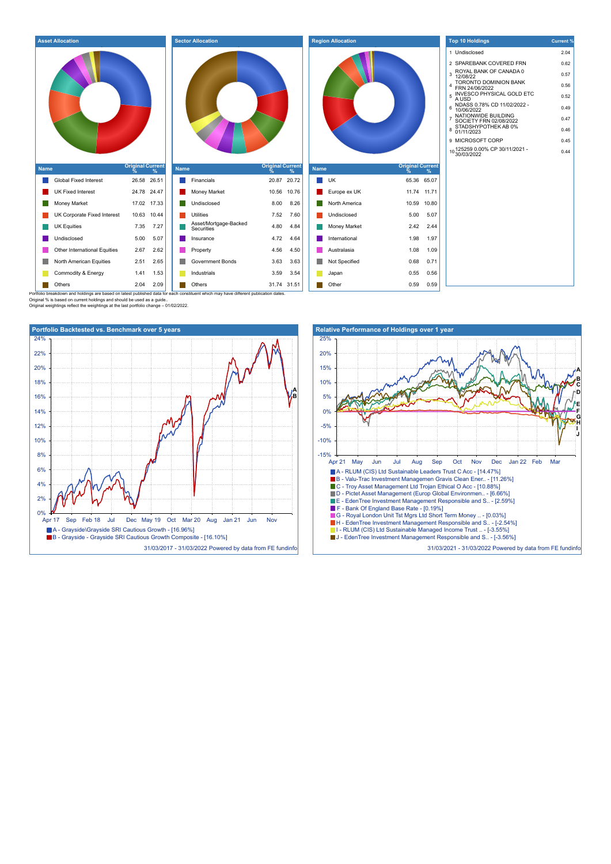| <b>Asset Allocation</b><br><b>Sector Allocation</b><br><b>Region Allocation</b>                                                                       | <b>Top 10 Holdings</b><br><b>Current %</b>                                                             |
|-------------------------------------------------------------------------------------------------------------------------------------------------------|--------------------------------------------------------------------------------------------------------|
| 3                                                                                                                                                     | 1 Undisclosed<br>2.04<br>2 SPAREBANK COVERED FRN<br>0.62<br>ROYAL BANK OF CANADA 0<br>0.57<br>12/08/22 |
|                                                                                                                                                       | TORONTO DOMINION BANK<br>0.56<br>FRN 24/06/2022<br><b>INVESCO PHYSICAL GOLD ETC</b>                    |
| $5$ $\overline{A} \overline{U} \overline{S} \overline{D}$                                                                                             | 0.52                                                                                                   |
| 6                                                                                                                                                     | NDASS 0.78% CD 11/02/2022 -<br>0.49<br>10/06/2022                                                      |
|                                                                                                                                                       | NATIONWIDE BUILDING<br>0.47<br>SOCIETY FRN 02/08/2022                                                  |
| 8                                                                                                                                                     | STADSHYPOTHEK AB 0%<br>0.46<br>01/11/2023                                                              |
|                                                                                                                                                       | 9 MICROSOFT CORP<br>0.45                                                                               |
|                                                                                                                                                       | 10 125259 0.00% CP 30/11/2021 -<br>10 30/03/2022<br>0.44                                               |
| <b>Original Current</b><br><b>Original Current</b><br><b>Original Current</b><br><b>Name</b><br><b>Name</b><br><b>Name</b><br>$\frac{9}{6}$<br>%<br>℀ |                                                                                                        |
| <b>Global Fixed Interest</b><br>26.58 26.51<br>$\blacksquare$ Financials<br>20.87 20.72<br>UK<br>65.36 65.07                                          |                                                                                                        |
| 24.78 24.47<br>10.56 10.76<br>11.74 11.71<br>UK Fixed Interest<br>Money Market<br>Europe ex UK                                                        |                                                                                                        |
| <b>Money Market</b><br>17.02 17.33<br>Undisclosed<br>8.00<br>8.26<br>North America<br>10.59 10.80                                                     |                                                                                                        |
| UK Corporate Fixed Interest<br>10.63 10.44<br>Utilities<br>7.52<br>7.60<br>5.00<br>5.07<br>Undisclosed                                                |                                                                                                        |
| Asset/Mortgage-Backed<br>Securities<br><b>UK Equities</b><br>7.27<br>4.80<br>4.84<br>2.42<br>2.44<br>7.35<br>Money Market                             |                                                                                                        |
| 4.72<br>1.98<br>1.97<br>Undisclosed<br>5.00<br>5.07<br>4.64<br>International<br>Insurance                                                             |                                                                                                        |
| Other International Equities<br>4.56<br>2.67<br>2.62<br>4.50<br>Australasia<br>1.08<br>1.09<br>Property                                               |                                                                                                        |
| <b>Government Bonds</b><br>3.63<br>3.63<br>0.68<br>0.71<br>North American Equities<br>2.51<br>2.65<br>Not Specified                                   |                                                                                                        |
| 3.59<br>Commodity & Energy<br>1.41<br>1.53<br>Industrials<br>3.54<br>0.55<br>0.56<br>Japan                                                            |                                                                                                        |
| 31.74 31.51<br>Others<br>2.04<br>2.09<br>Others<br>Other<br>0.59<br>0.59                                                                              |                                                                                                        |

Original % is based on current holdings and should be used as a guide.. Original weightings reflect the weightings at the last portfolio change – 01/02/2022.